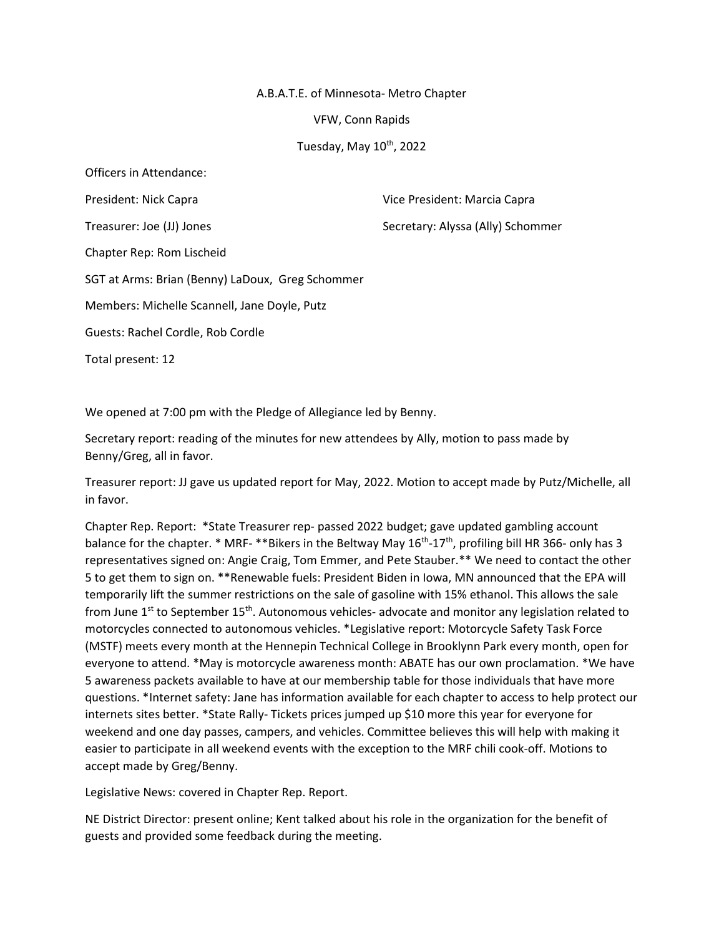## A.B.A.T.E. of Minnesota- Metro Chapter

VFW, Conn Rapids

Tuesday, May  $10^{th}$ , 2022

Officers in Attendance: President: Nick Capra Vice President: Marcia Capra Treasurer: Joe (JJ) Jones Secretary: Alyssa (Ally) Schommer Chapter Rep: Rom Lischeid SGT at Arms: Brian (Benny) LaDoux, Greg Schommer Members: Michelle Scannell, Jane Doyle, Putz Guests: Rachel Cordle, Rob Cordle Total present: 12

We opened at 7:00 pm with the Pledge of Allegiance led by Benny.

Secretary report: reading of the minutes for new attendees by Ally, motion to pass made by Benny/Greg, all in favor.

Treasurer report: JJ gave us updated report for May, 2022. Motion to accept made by Putz/Michelle, all in favor.

Chapter Rep. Report: \*State Treasurer rep- passed 2022 budget; gave updated gambling account balance for the chapter. \* MRF- \*\*Bikers in the Beltway May 16<sup>th</sup>-17<sup>th</sup>, profiling bill HR 366- only has 3 representatives signed on: Angie Craig, Tom Emmer, and Pete Stauber.\*\* We need to contact the other 5 to get them to sign on. \*\*Renewable fuels: President Biden in Iowa, MN announced that the EPA will temporarily lift the summer restrictions on the sale of gasoline with 15% ethanol. This allows the sale from June  $1<sup>st</sup>$  to September  $15<sup>th</sup>$ . Autonomous vehicles- advocate and monitor any legislation related to motorcycles connected to autonomous vehicles. \*Legislative report: Motorcycle Safety Task Force (MSTF) meets every month at the Hennepin Technical College in Brooklynn Park every month, open for everyone to attend. \*May is motorcycle awareness month: ABATE has our own proclamation. \*We have 5 awareness packets available to have at our membership table for those individuals that have more questions. \*Internet safety: Jane has information available for each chapter to access to help protect our internets sites better. \*State Rally- Tickets prices jumped up \$10 more this year for everyone for weekend and one day passes, campers, and vehicles. Committee believes this will help with making it easier to participate in all weekend events with the exception to the MRF chili cook-off. Motions to accept made by Greg/Benny.

Legislative News: covered in Chapter Rep. Report.

NE District Director: present online; Kent talked about his role in the organization for the benefit of guests and provided some feedback during the meeting.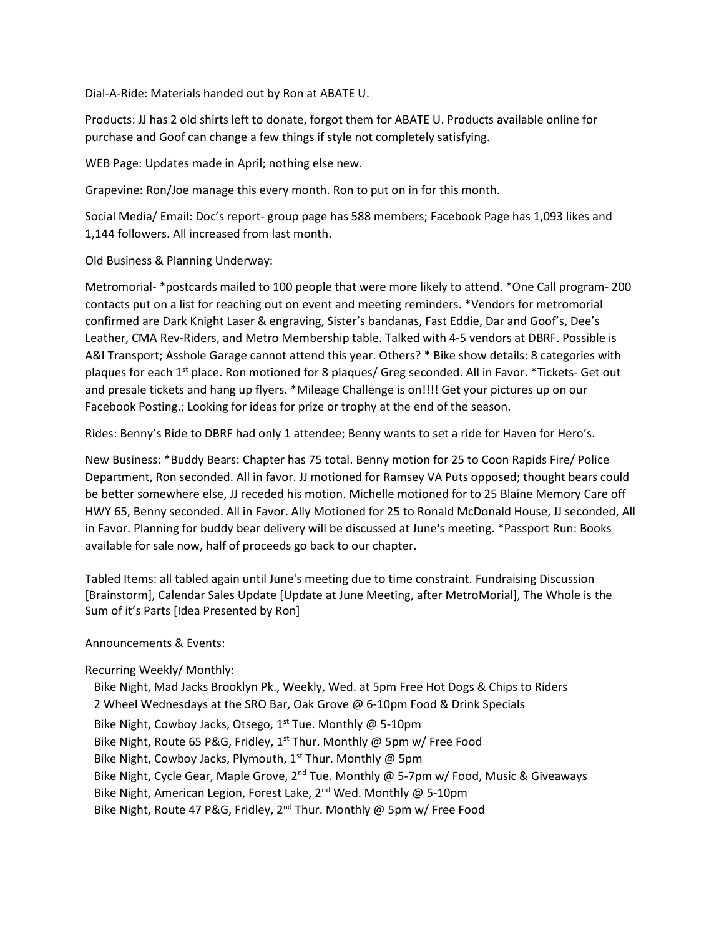Dial-A-Ride: Materials handed out by Ron at ABATE U.

Products: JJ has 2 old shirts left to donate, forgot them for ABATE U. Products available online for purchase and Goof can change a few things if style not completely satisfying.

WEB Page: Updates made in April; nothing else new.

Grapevine: Ron/Joe manage this every month. Ron to put on in for this month.

Social Media/ Email: Doc's report- group page has 588 members; Facebook Page has 1,093 likes and 1,144 followers. All increased from last month.

Old Business & Planning Underway:

Metromorial- \*postcards mailed to 100 people that were more likely to attend. \*One Call program- 200 contacts put on a list for reaching out on event and meeting reminders. \*Vendors for metromorial confirmed are Dark Knight Laser & engraving, Sister's bandanas, Fast Eddie, Dar and Goof's, Dee's Leather, CMA Rev-Riders, and Metro Membership table. Talked with 4-5 vendors at DBRF. Possible is A&I Transport; Asshole Garage cannot attend this year. Others? \* Bike show details: 8 categories with plaques for each 1<sup>st</sup> place. Ron motioned for 8 plaques/ Greg seconded. All in Favor. \*Tickets- Get out and presale tickets and hang up flyers. \*Mileage Challenge is on!!!! Get your pictures up on our Facebook Posting.; Looking for ideas for prize or trophy at the end of the season.

Rides: Benny's Ride to DBRF had only 1 attendee; Benny wants to set a ride for Haven for Hero's.

New Business: \*Buddy Bears: Chapter has 75 total. Benny motion for 25 to Coon Rapids Fire/ Police Department, Ron seconded. All in favor. JJ motioned for Ramsey VA Puts opposed; thought bears could be better somewhere else, JJ receded his motion. Michelle motioned for to 25 Blaine Memory Care off HWY 65, Benny seconded. All in Favor. Ally Motioned for 25 to Ronald McDonald House, JJ seconded, All in Favor. Planning for buddy bear delivery will be discussed at June's meeting. \*Passport Run: Books available for sale now, half of proceeds go back to our chapter.

Tabled Items: all tabled again until June's meeting due to time constraint. Fundraising Discussion [Brainstorm], Calendar Sales Update [Update at June Meeting, after MetroMorial], The Whole is the Sum of it's Parts [Idea Presented by Ron]

## Announcements & Events:

## Recurring Weekly/ Monthly:

 Bike Night, Mad Jacks Brooklyn Pk., Weekly, Wed. at 5pm Free Hot Dogs & Chips to Riders 2 Wheel Wednesdays at the SRO Bar, Oak Grove @ 6-10pm Food & Drink Specials Bike Night, Cowboy Jacks, Otsego,  $1^{st}$  Tue. Monthly @ 5-10pm Bike Night, Route 65 P&G, Fridley, 1st Thur. Monthly @ 5pm w/ Free Food Bike Night, Cowboy Jacks, Plymouth,  $1^{st}$  Thur. Monthly @ 5pm Bike Night, Cycle Gear, Maple Grove,  $2^{nd}$  Tue. Monthly @ 5-7pm w/ Food, Music & Giveaways Bike Night, American Legion, Forest Lake,  $2^{nd}$  Wed. Monthly @ 5-10pm Bike Night, Route 47 P&G, Fridley, 2<sup>nd</sup> Thur. Monthly @ 5pm w/ Free Food